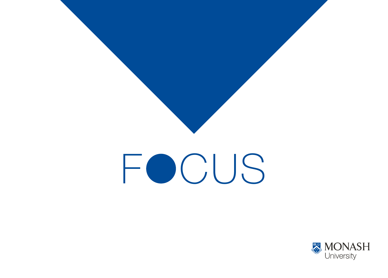

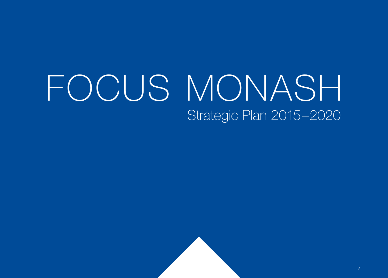### FOCUS MONASH Strategic Plan 2015–2020

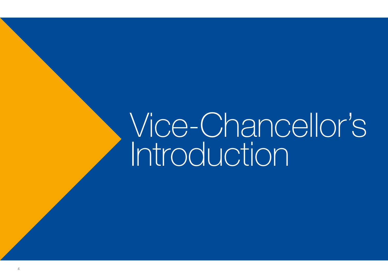### Vice-Chancellor's Introduction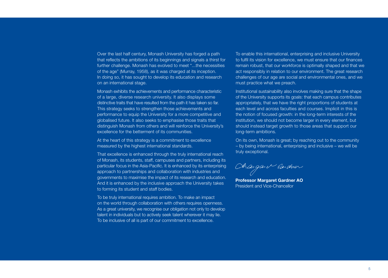Over the last half century, Monash University has forged a path that reflects the ambitions of its beginnings and signals a thirst for further challenge. Monash has evolved to meet "...the necessities of the age" (Murray, 1958), as it was charged at its inception. In doing so, it has sought to develop its education and research on an international stage.

Monash exhibits the achievements and performance characteristic of a large, diverse research university. It also displays some distinctive traits that have resulted from the path it has taken so far. This strategy seeks to strengthen those achievements and performance to equip the University for a more competitive and globalised future. It also seeks to emphasise those traits that distinguish Monash from others and will reinforce the University's excellence for the betterment of its communities.

At the heart of this strategy is a commitment to excellence measured by the highest international standards.

That excellence is enhanced through the truly international reach of Monash, its students, staff, campuses and partners, including its particular focus in the Asia-Pacific. It is enhanced by its enterprising approach to partnerships and collaboration with industries and governments to maximise the impact of its research and education. And it is enhanced by the inclusive approach the University takes to forming its student and staff bodies.

To be truly international requires ambition. To make an impact on the world through collaboration with others requires openness. As a great university, we recognise our obligation not only to develop talent in individuals but to actively seek talent wherever it may lie. To be inclusive of all is part of our commitment to excellence.

To enable this international, enterprising and inclusive University to fulfil its vision for excellence, we must ensure that our finances remain robust, that our workforce is optimally shaped and that we act responsibly in relation to our environment. The great research challenges of our age are social and environmental ones, and we must practice what we preach.

Institutional sustainability also involves making sure that the shape of the University supports its goals: that each campus contributes appropriately, that we have the right proportions of students at each level and across faculties and courses. Implicit in this is the notion of focused growth: in the long-term interests of the institution, we should not become larger in every element, but should instead target growth to those areas that support our long-term ambitions.

On its own, Monash is great; by reaching out to the community – by being international, enterprising and inclusive – we will be truly exceptional.

Ohangan V bandour

**Professor Margaret Gardner AO**  President and Vice-Chancellor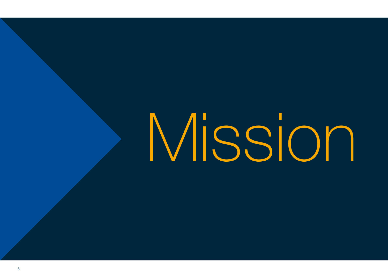### Mission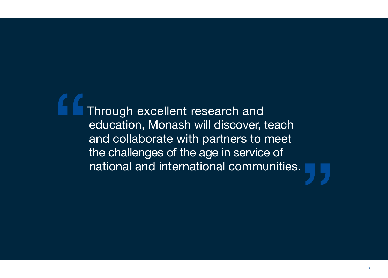Through excellent research and education, Monash will discover, teach and collaborate with partners to meet the challenges of the age in service of national and international communities.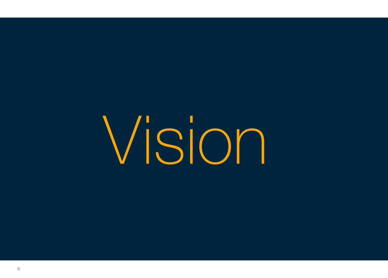Vision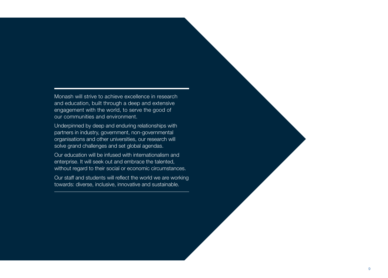Monash will strive to achieve excellence in research and education, built through a deep and extensive engagement with the world, to serve the good of our communities and environment.

Underpinned by deep and enduring relationships with partners in industry, government, non-governmental organisations and other universities, our research will solve grand challenges and set global agendas.

Our education will be infused with internationalism and enterprise. It will seek out and embrace the talented, without regard to their social or economic circumstances.

Our staff and students will reflect the world we are working towards: diverse, inclusive, innovative and sustainable.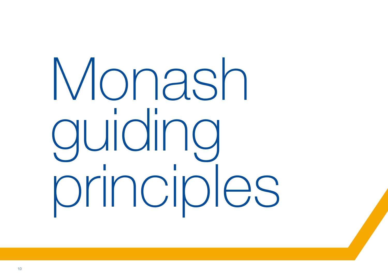### Monash guiding principles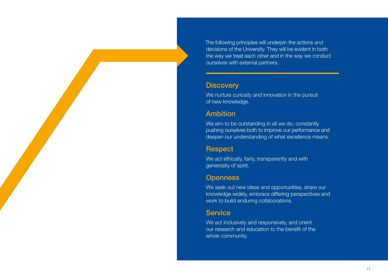The following principles will underpin the actions and decisions of the University. They will be evident in both the way we treat each other and in the way we conduct ourselves with external partners.

### **Discovery**

We nurture curiosity and innovation in the pursuit of new knowledge.

### Ambition

We aim to be outstanding in all we do, constantly pushing ourselves both to improve our performance and deepen our understanding of what excellence means.

### **Respect**

We act ethically, fairly, transparently and with generosity of spirit.

### **Openness**

We seek out new ideas and opportunities, share our knowledge widely, embrace differing perspectives and work to build enduring collaborations.

### **Service**

We act inclusively and responsively, and orient our research and education to the benefit of the whole community.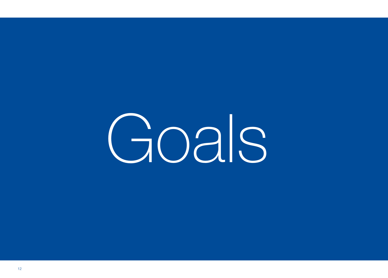### Goals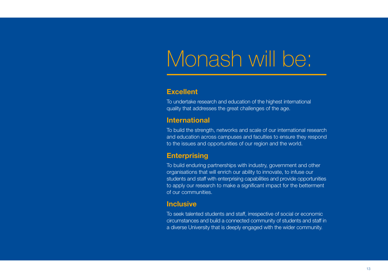### Monash will be:

### **Excellent**

To undertake research and education of the highest international quality that addresses the great challenges of the age.

### **International**

To build the strength, networks and scale of our international research and education across campuses and faculties to ensure they respond to the issues and opportunities of our region and the world.

### **Enterprising**

To build enduring partnerships with industry, government and other organisations that will enrich our ability to innovate, to infuse our students and staff with enterprising capabilities and provide opportunities to apply our research to make a significant impact for the betterment of our communities.

### **Inclusive**

To seek talented students and staff, irrespective of social or economic circumstances and build a connected community of students and staff in a diverse University that is deeply engaged with the wider community.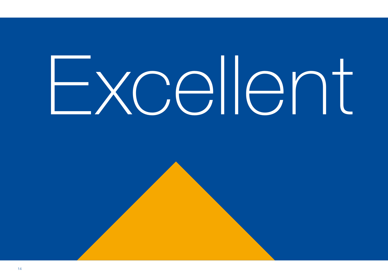# Excellent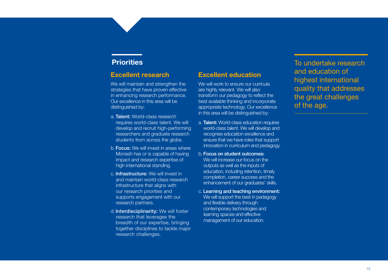### **Priorities**

#### **Excellent research**

We will maintain and strengthen the strategies that have proven effective in enhancing research performance. Our excellence in this area will be distinguished by:

- a. Talent: World-class research requires world-class talent. We will develop and recruit high-performing researchers and graduate research students from across the globe.
- b.Focus: We will invest in areas where Monash has or is capable of having impact and research expertise of high international standing.
- c. Infrastructure: We will invest in and maintain world-class research infrastructure that aligns with our research priorities and supports engagement with our research partners.
- d. Interdisciplinarity: We will foster research that leverages the breadth of our expertise, bringing together disciplines to tackle major research challenges.

### **Excellent education**

We will work to ensure our curricula are highly relevant. We will also transform our pedagogy to reflect the best available thinking and incorporate appropriate technology. Our excellence in this area will be distinguished by:

- a. Talent: World-class education requires world-class talent. We will develop and recognise education excellence and ensure that we have roles that support innovation in curriculum and pedagogy.
- b. Focus on student outcomes: We will increase our focus on the outputs as well as the inputs of education, including retention, timely completion, career success and the enhancement of our graduates' skills.
- c. Learning and teaching environment: We will support the best in pedagogy and flexible delivery through contemporary technologies and learning spaces and effective management of our education.

To undertake research and education of highest international quality that addresses the great challenges of the age.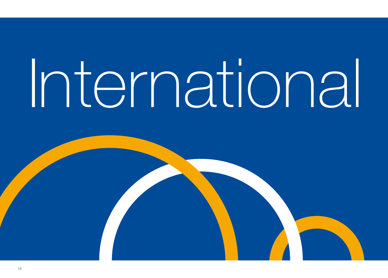## International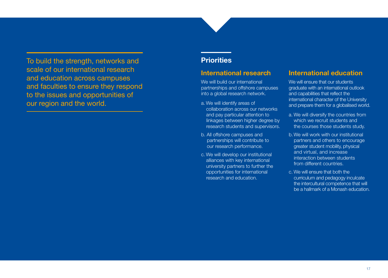To build the strength, networks and scale of our international research and education across campuses and faculties to ensure they respond to the issues and opportunities of our region and the world.

### **Priorities**

#### **International research**

We will build our international partnerships and offshore campuses into a global research network.

- a. We will identify areas of collaboration across our networks and pay particular attention to linkages between higher degree by research students and supervisors.
- b. All offshore campuses and partnerships will contribute to our research performance.
- c. We will develop our institutional alliances with key international university partners to further the opportunities for international research and education.

#### **International education**

We will ensure that our students graduate with an international outlook and capabilities that reflect the international character of the University and prepare them for a globalised world.

- a. We will diversify the countries from which we recruit students and the courses those students study.
- b. We will work with our institutional partners and others to encourage greater student mobility, physical and virtual, and increase interaction between students from different countries.
- c. We will ensure that both the curriculum and pedagogy inculcate the intercultural competence that will be a hallmark of a Monash education.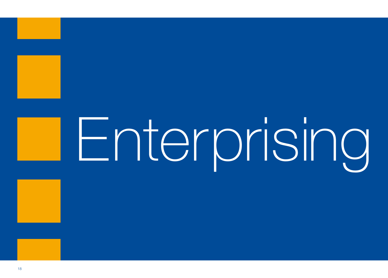## Enterprising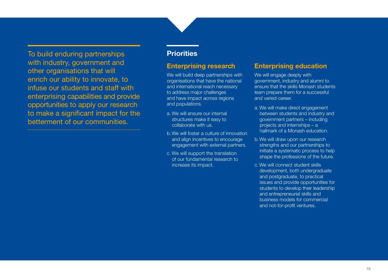To build enduring partnerships with industry, government and other organisations that will enrich our ability to innovate, to infuse our students and staff with enterprising capabilities and provide opportunities to apply our research to make a significant impact for the betterment of our communities.

### **Priorities**

#### **Enterprising research**

We will build deep partnerships with organisations that have the national and international reach necessary to address major challenges and have impact across regions and populations.

- a. We will ensure our internal structures make it easy to collaborate with us.
- b.We will foster a culture of innovation and align incentives to encourage engagement with external partners.
- c. We will support the translation of our fundamental research to increase its impact.

### **Enterprising education**

We will engage deeply with government, industry and alumni to ensure that the skills Monash students learn prepare them for a successful and varied career.

- a. We will make direct engagement between students and industry and government partners – including projects and internships – a hallmark of a Monash education.
- b. We will draw upon our research strengths and our partnerships to initiate a systematic process to help shape the professions of the future.
- c. We will connect student skills development, both undergraduate and postgraduate, to practical issues and provide opportunities for students to develop their leadership and entrepreneurial skills and business models for commercial and not-for-profit ventures.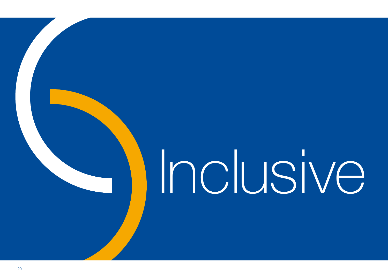## Inclusive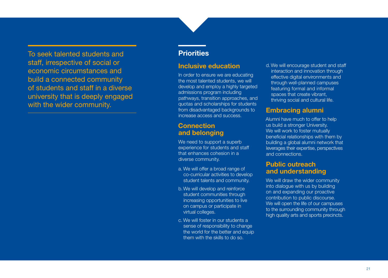To seek talented students and staff, irrespective of social or economic circumstances and build a connected community of students and staff in a diverse university that is deeply engaged with the wider community.

### **Priorities**

#### **Inclusive education**

In order to ensure we are educating the most talented students, we will develop and employ a highly targeted admissions program including pathways, transition approaches, and quotas and scholarships for students from disadvantaged backgrounds to increase access and success.

### **Connection and belonging**

We need to support a superb experience for students and staff that enhances cohesion in a diverse community.

- a. We will offer a broad range of co-curricular activities to develop student talents and community.
- b.We will develop and reinforce student communities through increasing opportunities to live on campus or participate in virtual colleges.
- c. We will foster in our students a sense of responsibility to change the world for the better and equip them with the skills to do so.

d.We will encourage student and staff interaction and innovation through effective digital environments and through well-planned campuses featuring formal and informal spaces that create vibrant, thriving social and cultural life.

### **Embracing alumni**

Alumni have much to offer to help us build a stronger University. We will work to foster mutually beneficial relationships with them by building a global alumni network that leverages their expertise, perspectives and connections.

### **Public outreach and understanding**

We will draw the wider community into dialogue with us by building on and expanding our proactive contribution to public discourse. We will open the life of our campuses to the surrounding community through high quality arts and sports precincts.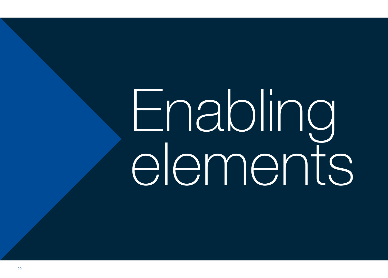### Enabling elements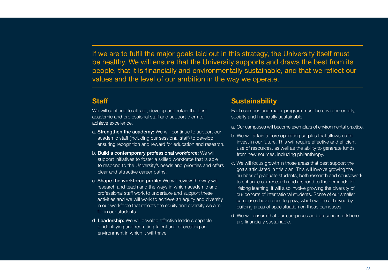If we are to fulfil the major goals laid out in this strategy, the University itself must be healthy. We will ensure that the University supports and draws the best from its people, that it is financially and environmentally sustainable, and that we reflect our values and the level of our ambition in the way we operate.

### **Staff**

We will continue to attract, develop and retain the best academic and professional staff and support them to achieve excellence.

- a. Strengthen the academy: We will continue to support our academic staff (including our sessional staff) to develop, ensuring recognition and reward for education and research.
- b. Build a contemporary professional workforce: We will support initiatives to foster a skilled workforce that is able to respond to the University's needs and priorities and offers clear and attractive career paths.
- c. Shape the workforce profile: We will review the way we research and teach and the ways in which academic and professional staff work to undertake and support these activities and we will work to achieve an equity and diversity in our workforce that reflects the equity and diversity we aim for in our students.
- d. Leadership: We will develop effective leaders capable of identifying and recruiting talent and of creating an environment in which it will thrive.

### **Sustainability**

Each campus and major program must be environmentally, socially and financially sustainable.

- a. Our campuses will become exemplars of environmental practice.
- b. We will attain a core operating surplus that allows us to invest in our future. This will require effective and efficient use of resources, as well as the ability to generate funds from new sources, including philanthropy.
- c. We will focus growth in those areas that best support the goals articulated in this plan. This will involve growing the number of graduate students, both research and coursework, to enhance our research and respond to the demands for lifelong learning. It will also involve growing the diversity of our cohorts of international students. Some of our smaller campuses have room to grow, which will be achieved by building areas of specialisation on those campuses.
- d. We will ensure that our campuses and presences offshore are financially sustainable.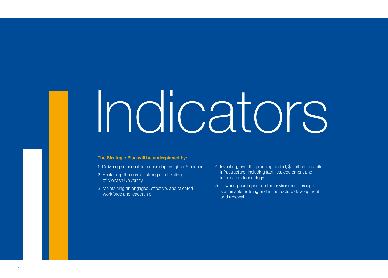### Indicators

#### **The Strategic Plan will be underpinned by:**

- 1. Delivering an annual core operating margin of 5 per cent.
- 2. Sustaining the current strong credit rating of Monash University.
- 3. Maintaining an engaged, effective, and talented workforce and leadership.
- 4. Investing, over the planning period, \$1 billion in capital infrastructure, including facilities, equipment and information technology.
- 5. Lowering our impact on the environment through sustainable building and infrastructure development and renewal.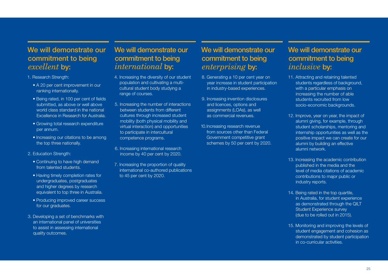### We will demonstrate our commitment to being *excellent* by:

- 1. Research Strength:
	- A 20 per cent improvement in our ranking internationally.
	- Being rated, in 100 per cent of fields submitted, as above or well above world class standard in the national Excellence in Research for Australia.
	- Growing total research expenditure per annum.
	- Increasing our citations to be among the top three nationally.
- 2. Education Strength:
	- Continuing to have high demand from talented students.
	- Having timely completion rates for undergraduates, postgraduates and higher degrees by research equivalent to top three in Australia.
	- Producing improved career success for our graduates.
- 3. Developing a set of benchmarks with an international panel of universities to assist in assessing international quality outcomes.

### We will demonstrate our commitment to being *international* by:

- 4. Increasing the diversity of our student population and cultivating a multicultural student body studying a range of courses.
- 5. Increasing the number of interactions between students from different cultures through increased student mobility (both physical mobility and virtual interaction) and opportunities to participate in intercultural competence programs.
- 6. Increasing international research income by 40 per cent by 2020.
- 7. Increasing the proportion of quality international co-authored publications to 45 per cent by 2020.

### We will demonstrate our commitment to being *enterprising* by:

- 8. Generating a 10 per cent year on year increase in student participation in industry-based experiences.
- 9. Increasing invention disclosures and licences, options and assignments (LOAs), as well as commercial revenues.
- 10.Increasing research revenue from sources other than Federal Government competitive grant schemes by 50 per cent by 2020.

### We will demonstrate our commitment to being *inclusive* by:

- 11. Attracting and retaining talented students regardless of background. with a particular emphasis on increasing the number of able students recruited from low socio-economic backgrounds.
- 12. Improve, year on year, the impact of alumni giving, for example, through student scholarships, mentoring and internship opportunities as well as the positive impact we can create for our alumni by building an effective alumni network.
- 13. Increasing the academic contribution published in the media and the level of media citations of academic contributions to major public or industry reports.
- 14. Being rated in the top quartile, in Australia, for student experience as demonstrated through the QILT Student Experience survey (due to be rolled out in 2015).
- 15. Monitoring and improving the levels of student engagement and cohesion as demonstrated by student participation in co-curricular activities.